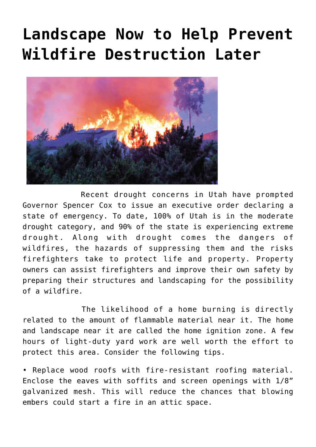## **[Landscape Now to Help Prevent](https://livewellutah.org/2021/06/04/landscape-now-to-help-prevent-wildfire-destruction-later/) [Wildfire Destruction Later](https://livewellutah.org/2021/06/04/landscape-now-to-help-prevent-wildfire-destruction-later/)**



 Recent drought concerns in Utah have prompted Governor Spencer Cox to issue an executive order declaring a state of emergency. To date, 100% of Utah is in the moderate drought category, and 90% of the state is experiencing extreme drought. Along with drought comes the dangers of wildfires, the hazards of suppressing them and the risks firefighters take to protect life and property. Property owners can assist firefighters and improve their own safety by preparing their structures and landscaping for the possibility of a wildfire.

 The likelihood of a home burning is directly related to the amount of flammable material near it. The home and landscape near it are called the home ignition zone. A few hours of light-duty yard work are well worth the effort to protect this area. Consider the following tips.

• Replace wood roofs with fire-resistant roofing material. Enclose the eaves with soffits and screen openings with 1/8" galvanized mesh. This will reduce the chances that blowing embers could start a fire in an attic space.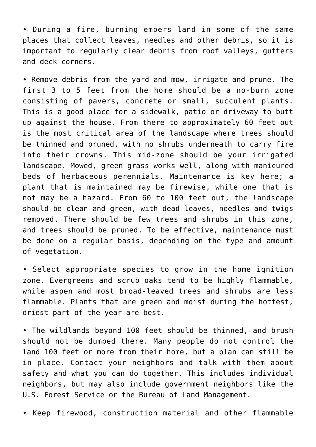• During a fire, burning embers land in some of the same places that collect leaves, needles and other debris, so it is important to regularly clear debris from roof valleys, gutters and deck corners.

• Remove debris from the yard and mow, irrigate and prune. The first 3 to 5 feet from the home should be a no-burn zone consisting of pavers, concrete or small, succulent plants. This is a good place for a sidewalk, patio or driveway to butt up against the house. From there to approximately 60 feet out is the most critical area of the landscape where trees should be thinned and pruned, with no shrubs underneath to carry fire into their crowns. This mid-zone should be your irrigated landscape. Mowed, green grass works well, along with manicured beds of herbaceous perennials. Maintenance is key here; a plant that is maintained may be firewise, while one that is not may be a hazard. From 60 to 100 feet out, the landscape should be clean and green, with dead leaves, needles and twigs removed. There should be few trees and shrubs in this zone, and trees should be pruned. To be effective, maintenance must be done on a regular basis, depending on the type and amount of vegetation.

• Select appropriate species to grow in the home ignition zone. Evergreens and scrub oaks tend to be highly flammable, while aspen and most broad-leaved trees and shrubs are less flammable. Plants that are green and moist during the hottest, driest part of the year are best.

• The wildlands beyond 100 feet should be thinned, and brush should not be dumped there. Many people do not control the land 100 feet or more from their home, but a plan can still be in place. Contact your neighbors and talk with them about safety and what you can do together. This includes individual neighbors, but may also include government neighbors like the U.S. Forest Service or the Bureau of Land Management.

• Keep firewood, construction material and other flammable